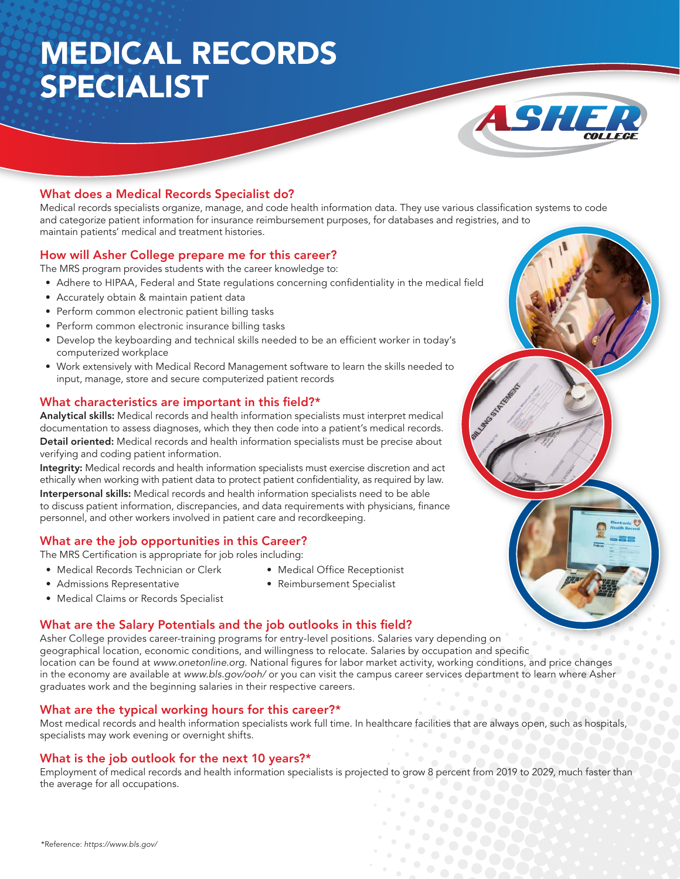# MEDICAL RECORDS SPECIALIST



# What does a Medical Records Specialist do?

Medical records specialists organize, manage, and code health information data. They use various classification systems to code and categorize patient information for insurance reimbursement purposes, for databases and registries, and to maintain patients' medical and treatment histories.

## How will Asher College prepare me for this career?

The MRS program provides students with the career knowledge to:

- Adhere to HIPAA, Federal and State regulations concerning confidentiality in the medical field
- Accurately obtain & maintain patient data
- Perform common electronic patient billing tasks
- Perform common electronic insurance billing tasks
- Develop the keyboarding and technical skills needed to be an efficient worker in today's computerized workplace
- Work extensively with Medical Record Management software to learn the skills needed to input, manage, store and secure computerized patient records

## What characteristics are important in this field?\*

Analytical skills: Medical records and health information specialists must interpret medical documentation to assess diagnoses, which they then code into a patient's medical records. Detail oriented: Medical records and health information specialists must be precise about verifying and coding patient information.

Integrity: Medical records and health information specialists must exercise discretion and act ethically when working with patient data to protect patient confidentiality, as required by law. Interpersonal skills: Medical records and health information specialists need to be able to discuss patient information, discrepancies, and data requirements with physicians, finance personnel, and other workers involved in patient care and recordkeeping.

# What are the job opportunities in this Career?

The MRS Certification is appropriate for job roles including:

- Medical Records Technician or Clerk
- Medical Office Receptionist
- Admissions Representative
- Reimbursement Specialist
- Medical Claims or Records Specialist

#### What are the Salary Potentials and the job outlooks in this field?

Asher College provides career-training programs for entry-level positions. Salaries vary depending on geographical location, economic conditions, and willingness to relocate. Salaries by occupation and specific location can be found at www.onetonline.org. National figures for labor market activity, working conditions, and price changes in the economy are available at www.bls.gov/ooh/ or you can visit the campus career services department to learn where Asher graduates work and the beginning salaries in their respective careers.

#### What are the typical working hours for this career?\*

Most medical records and health information specialists work full time. In healthcare facilities that are always open, such as hospitals, specialists may work evening or overnight shifts.

#### What is the job outlook for the next 10 years?\*

Employment of medical records and health information specialists is projected to grow 8 percent from 2019 to 2029, much faster than the average for all occupations.